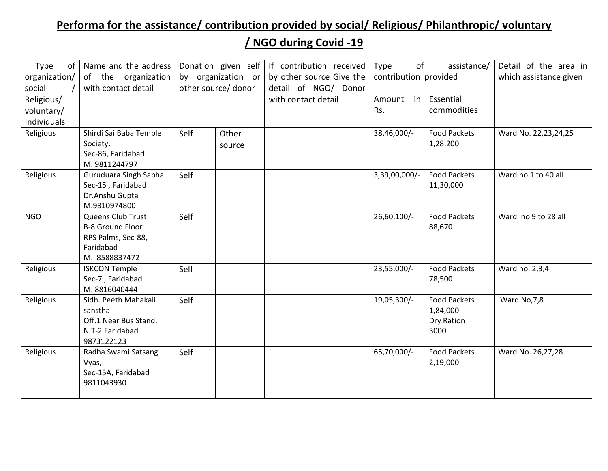## **Performa for the assistance/ contribution provided by social/ Religious/ Philanthropic/ voluntary**

## **/ NGO during Covid -19**

| Type<br>organization/<br>social | of   Name and the address<br>of the organization<br>with contact detail                          | Donation given self<br>by organization or<br>other source/ donor |        | If contribution received<br>by other source Give the<br>detail of NGO/ Donor | of<br>Type<br>contribution provided | assistance/                                           | Detail of the area in<br>which assistance given |
|---------------------------------|--------------------------------------------------------------------------------------------------|------------------------------------------------------------------|--------|------------------------------------------------------------------------------|-------------------------------------|-------------------------------------------------------|-------------------------------------------------|
| Religious/                      |                                                                                                  |                                                                  |        | with contact detail                                                          | Amount in                           | Essential                                             |                                                 |
| voluntary/                      |                                                                                                  |                                                                  |        |                                                                              | Rs.                                 | commodities                                           |                                                 |
| Individuals                     |                                                                                                  |                                                                  |        |                                                                              |                                     |                                                       |                                                 |
| Religious                       | Shirdi Sai Baba Temple                                                                           | Self                                                             | Other  |                                                                              | 38,46,000/-                         | <b>Food Packets</b>                                   | Ward No. 22,23,24,25                            |
|                                 | Society.                                                                                         |                                                                  | source |                                                                              |                                     | 1,28,200                                              |                                                 |
|                                 | Sec-86, Faridabad.<br>M.9811244797                                                               |                                                                  |        |                                                                              |                                     |                                                       |                                                 |
| Religious                       | Guruduara Singh Sabha<br>Sec-15, Faridabad<br>Dr.Anshu Gupta<br>M.9810974800                     | Self                                                             |        |                                                                              | 3,39,00,000/-                       | <b>Food Packets</b><br>11,30,000                      | Ward no 1 to 40 all                             |
| <b>NGO</b>                      | Queens Club Trust<br><b>B-8 Ground Floor</b><br>RPS Palms, Sec-88,<br>Faridabad<br>M. 8588837472 | Self                                                             |        |                                                                              | 26,60,100/-                         | <b>Food Packets</b><br>88,670                         | Ward no 9 to 28 all                             |
| Religious                       | <b>ISKCON Temple</b><br>Sec-7, Faridabad<br>M.8816040444                                         | Self                                                             |        |                                                                              | 23,55,000/-                         | <b>Food Packets</b><br>78,500                         | Ward no. 2,3,4                                  |
| Religious                       | Sidh. Peeth Mahakali<br>sanstha<br>Off.1 Near Bus Stand,<br>NIT-2 Faridabad<br>9873122123        | Self                                                             |        |                                                                              | 19,05,300/-                         | <b>Food Packets</b><br>1,84,000<br>Dry Ration<br>3000 | Ward No, 7, 8                                   |
| Religious                       | Radha Swami Satsang<br>Vyas,<br>Sec-15A, Faridabad<br>9811043930                                 | Self                                                             |        |                                                                              | 65,70,000/-                         | <b>Food Packets</b><br>2,19,000                       | Ward No. 26,27,28                               |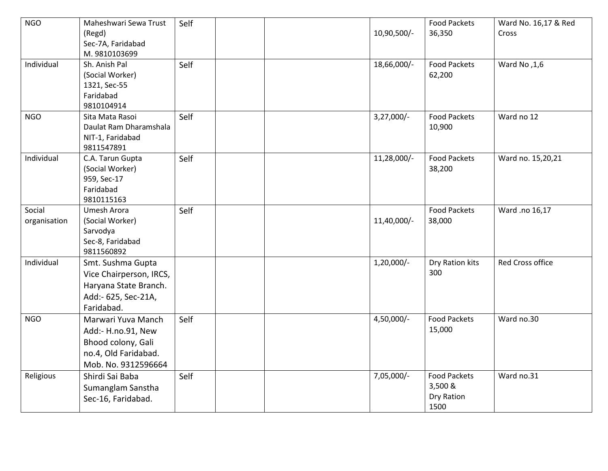| <b>NGO</b>   | Maheshwari Sewa Trust              | Self |  |              | <b>Food Packets</b> | Ward No. 16,17 & Red |
|--------------|------------------------------------|------|--|--------------|---------------------|----------------------|
|              | (Regd)                             |      |  | 10,90,500/-  | 36,350              | Cross                |
|              | Sec-7A, Faridabad<br>M. 9810103699 |      |  |              |                     |                      |
| Individual   | Sh. Anish Pal                      | Self |  | 18,66,000/-  | <b>Food Packets</b> | Mard No, 1,6         |
|              | (Social Worker)                    |      |  |              | 62,200              |                      |
|              | 1321, Sec-55                       |      |  |              |                     |                      |
|              | Faridabad                          |      |  |              |                     |                      |
|              | 9810104914                         |      |  |              |                     |                      |
| <b>NGO</b>   | Sita Mata Rasoi                    | Self |  | $3,27,000/-$ | <b>Food Packets</b> | Ward no 12           |
|              | Daulat Ram Dharamshala             |      |  |              | 10,900              |                      |
|              | NIT-1, Faridabad<br>9811547891     |      |  |              |                     |                      |
| Individual   | C.A. Tarun Gupta                   | Self |  | 11,28,000/-  | <b>Food Packets</b> | Ward no. 15,20,21    |
|              | (Social Worker)                    |      |  |              | 38,200              |                      |
|              | 959, Sec-17                        |      |  |              |                     |                      |
|              | Faridabad                          |      |  |              |                     |                      |
|              | 9810115163                         |      |  |              |                     |                      |
| Social       | Umesh Arora                        | Self |  |              | <b>Food Packets</b> | Ward .no 16,17       |
| organisation | (Social Worker)                    |      |  | 11,40,000/-  | 38,000              |                      |
|              | Sarvodya<br>Sec-8, Faridabad       |      |  |              |                     |                      |
|              | 9811560892                         |      |  |              |                     |                      |
| Individual   | Smt. Sushma Gupta                  |      |  | $1,20,000/-$ | Dry Ration kits     | Red Cross office     |
|              | Vice Chairperson, IRCS,            |      |  |              | 300                 |                      |
|              | Haryana State Branch.              |      |  |              |                     |                      |
|              | Add:- 625, Sec-21A,                |      |  |              |                     |                      |
|              | Faridabad.                         |      |  |              |                     |                      |
| <b>NGO</b>   | Marwari Yuva Manch                 | Self |  | 4,50,000/-   | <b>Food Packets</b> | Ward no.30           |
|              | Add:- H.no.91, New                 |      |  |              | 15,000              |                      |
|              | Bhood colony, Gali                 |      |  |              |                     |                      |
|              | no.4, Old Faridabad.               |      |  |              |                     |                      |
|              | Mob. No. 9312596664                |      |  |              |                     |                      |
| Religious    | Shirdi Sai Baba                    | Self |  | 7,05,000/-   | <b>Food Packets</b> | Ward no.31           |
|              | Sumanglam Sanstha                  |      |  |              | 3,500 &             |                      |
|              | Sec-16, Faridabad.                 |      |  |              | Dry Ration          |                      |
|              |                                    |      |  |              | 1500                |                      |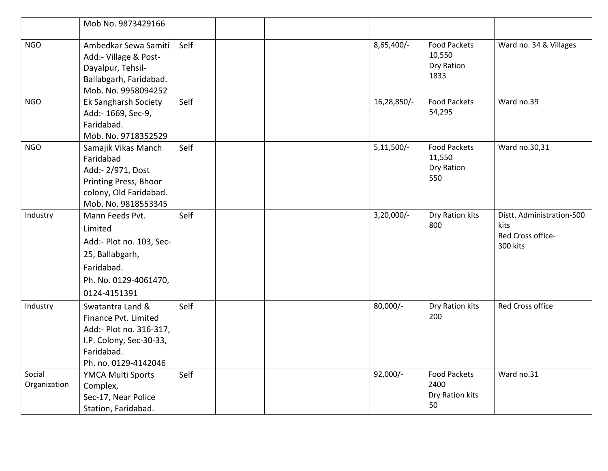|                        | Mob No. 9873429166                                                                                                                   |      |  |              |                                                      |                                                                    |
|------------------------|--------------------------------------------------------------------------------------------------------------------------------------|------|--|--------------|------------------------------------------------------|--------------------------------------------------------------------|
| <b>NGO</b>             | Ambedkar Sewa Samiti<br>Add:- Village & Post-<br>Dayalpur, Tehsil-<br>Ballabgarh, Faridabad.<br>Mob. No. 9958094252                  | Self |  | 8,65,400/-   | <b>Food Packets</b><br>10,550<br>Dry Ration<br>1833  | Ward no. 34 & Villages                                             |
| <b>NGO</b>             | Ek Sangharsh Society<br>Add:- 1669, Sec-9,<br>Faridabad.<br>Mob. No. 9718352529                                                      | Self |  | 16,28,850/-  | <b>Food Packets</b><br>54,295                        | Ward no.39                                                         |
| <b>NGO</b>             | Samajik Vikas Manch<br>Faridabad<br>Add:- 2/971, Dost<br>Printing Press, Bhoor<br>colony, Old Faridabad.<br>Mob. No. 9818553345      | Self |  | $5,11,500/-$ | <b>Food Packets</b><br>11,550<br>Dry Ration<br>550   | Ward no.30,31                                                      |
| Industry               | Mann Feeds Pvt.<br>Limited<br>Add:- Plot no. 103, Sec-<br>25, Ballabgarh,<br>Faridabad.<br>Ph. No. 0129-4061470,<br>0124-4151391     | Self |  | $3,20,000/-$ | Dry Ration kits<br>800                               | Distt. Administration-500<br>kits<br>Red Cross office-<br>300 kits |
| Industry               | Swatantra Land &<br>Finance Pvt. Limited<br>Add:- Plot no. 316-317,<br>I.P. Colony, Sec-30-33,<br>Faridabad.<br>Ph. no. 0129-4142046 | Self |  | 80,000/-     | Dry Ration kits<br>200                               | <b>Red Cross office</b>                                            |
| Social<br>Organization | YMCA Multi Sports<br>Complex,<br>Sec-17, Near Police<br>Station, Faridabad.                                                          | Self |  | $92,000/-$   | <b>Food Packets</b><br>2400<br>Dry Ration kits<br>50 | Ward no.31                                                         |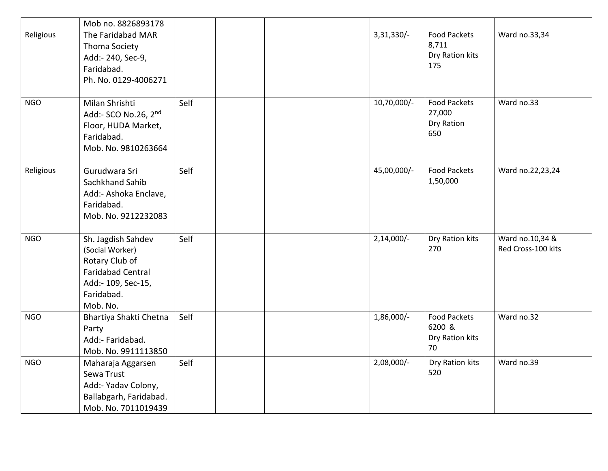|            | Mob no. 8826893178                                                                                                                  |      |  |              |                                                        |                                       |
|------------|-------------------------------------------------------------------------------------------------------------------------------------|------|--|--------------|--------------------------------------------------------|---------------------------------------|
| Religious  | The Faridabad MAR<br>Thoma Society<br>Add:- 240, Sec-9,<br>Faridabad.<br>Ph. No. 0129-4006271                                       |      |  | 3,31,330/-   | <b>Food Packets</b><br>8,711<br>Dry Ration kits<br>175 | Ward no.33,34                         |
| <b>NGO</b> | Milan Shrishti<br>Add:- SCO No.26, 2nd<br>Floor, HUDA Market,<br>Faridabad.<br>Mob. No. 9810263664                                  | Self |  | 10,70,000/-  | <b>Food Packets</b><br>27,000<br>Dry Ration<br>650     | Ward no.33                            |
| Religious  | Gurudwara Sri<br>Sachkhand Sahib<br>Add:- Ashoka Enclave,<br>Faridabad.<br>Mob. No. 9212232083                                      | Self |  | 45,00,000/-  | <b>Food Packets</b><br>1,50,000                        | Ward no.22,23,24                      |
| <b>NGO</b> | Sh. Jagdish Sahdev<br>(Social Worker)<br>Rotary Club of<br><b>Faridabad Central</b><br>Add:- 109, Sec-15,<br>Faridabad.<br>Mob. No. | Self |  | $2,14,000/-$ | Dry Ration kits<br>270                                 | Ward no.10,34 &<br>Red Cross-100 kits |
| <b>NGO</b> | Bhartiya Shakti Chetna<br>Party<br>Add:- Faridabad.<br>Mob. No. 9911113850                                                          | Self |  | 1,86,000/-   | <b>Food Packets</b><br>6200 &<br>Dry Ration kits<br>70 | Ward no.32                            |
| <b>NGO</b> | Maharaja Aggarsen<br>Sewa Trust<br>Add:- Yadav Colony,<br>Ballabgarh, Faridabad.<br>Mob. No. 7011019439                             | Self |  | 2,08,000/-   | Dry Ration kits<br>520                                 | Ward no.39                            |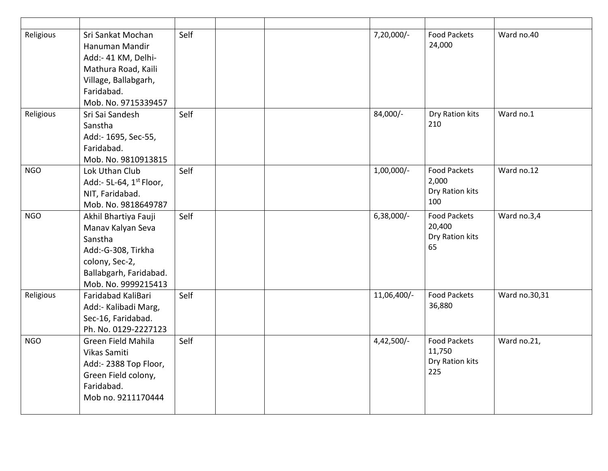| Religious  | Sri Sankat Mochan<br>Hanuman Mandir<br>Add:- 41 KM, Delhi-<br>Mathura Road, Kaili<br>Village, Ballabgarh,<br>Faridabad.<br>Mob. No. 9715339457 | Self |  | 7,20,000/-   | <b>Food Packets</b><br>24,000                           | Ward no.40    |
|------------|------------------------------------------------------------------------------------------------------------------------------------------------|------|--|--------------|---------------------------------------------------------|---------------|
| Religious  | Sri Sai Sandesh<br>Sanstha<br>Add:- 1695, Sec-55,<br>Faridabad.<br>Mob. No. 9810913815                                                         | Self |  | 84,000/-     | Dry Ration kits<br>210                                  | Ward no.1     |
| <b>NGO</b> | Lok Uthan Club<br>Add:- 5L-64, 1 <sup>st</sup> Floor,<br>NIT, Faridabad.<br>Mob. No. 9818649787                                                | Self |  | 1,00,000/-   | <b>Food Packets</b><br>2,000<br>Dry Ration kits<br>100  | Ward no.12    |
| <b>NGO</b> | Akhil Bhartiya Fauji<br>Manav Kalyan Seva<br>Sanstha<br>Add:-G-308, Tirkha<br>colony, Sec-2,<br>Ballabgarh, Faridabad.<br>Mob. No. 9999215413  | Self |  | $6,38,000/-$ | <b>Food Packets</b><br>20,400<br>Dry Ration kits<br>65  | Ward no.3,4   |
| Religious  | Faridabad KaliBari<br>Add:- Kalibadi Marg,<br>Sec-16, Faridabad.<br>Ph. No. 0129-2227123                                                       | Self |  | 11,06,400/-  | <b>Food Packets</b><br>36,880                           | Ward no.30,31 |
| <b>NGO</b> | Green Field Mahila<br>Vikas Samiti<br>Add:- 2388 Top Floor,<br>Green Field colony,<br>Faridabad.<br>Mob no. 9211170444                         | Self |  | $4,42,500/-$ | <b>Food Packets</b><br>11,750<br>Dry Ration kits<br>225 | Ward no.21,   |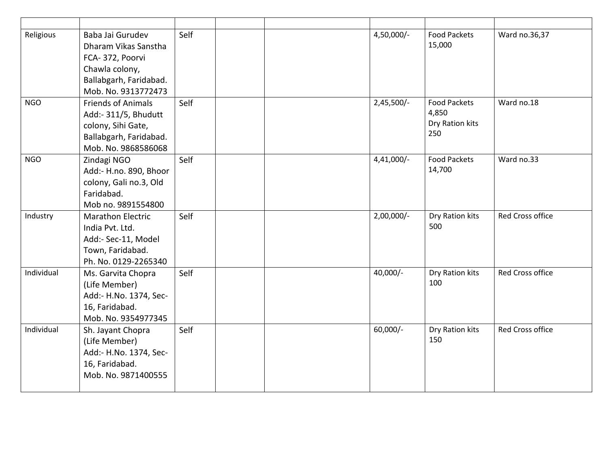| Religious  | Baba Jai Gurudev<br>Dharam Vikas Sanstha<br>FCA-372, Poorvi<br>Chawla colony,<br>Ballabgarh, Faridabad.<br>Mob. No. 9313772473 | Self |  | 4,50,000/-   | <b>Food Packets</b><br>15,000                          | Ward no.36,37           |
|------------|--------------------------------------------------------------------------------------------------------------------------------|------|--|--------------|--------------------------------------------------------|-------------------------|
| <b>NGO</b> | <b>Friends of Animals</b><br>Add:- 311/5, Bhudutt<br>colony, Sihi Gate,<br>Ballabgarh, Faridabad.<br>Mob. No. 9868586068       | Self |  | $2,45,500/-$ | <b>Food Packets</b><br>4,850<br>Dry Ration kits<br>250 | Ward no.18              |
| <b>NGO</b> | Zindagi NGO<br>Add:- H.no. 890, Bhoor<br>colony, Gali no.3, Old<br>Faridabad.<br>Mob no. 9891554800                            | Self |  | $4,41,000/-$ | <b>Food Packets</b><br>14,700                          | Ward no.33              |
| Industry   | <b>Marathon Electric</b><br>India Pvt. Ltd.<br>Add:- Sec-11, Model<br>Town, Faridabad.<br>Ph. No. 0129-2265340                 | Self |  | $2,00,000/-$ | Dry Ration kits<br>500                                 | <b>Red Cross office</b> |
| Individual | Ms. Garvita Chopra<br>(Life Member)<br>Add:- H.No. 1374, Sec-<br>16, Faridabad.<br>Mob. No. 9354977345                         | Self |  | 40,000/-     | Dry Ration kits<br>100                                 | <b>Red Cross office</b> |
| Individual | Sh. Jayant Chopra<br>(Life Member)<br>Add:- H.No. 1374, Sec-<br>16, Faridabad.<br>Mob. No. 9871400555                          | Self |  | $60,000/-$   | Dry Ration kits<br>150                                 | <b>Red Cross office</b> |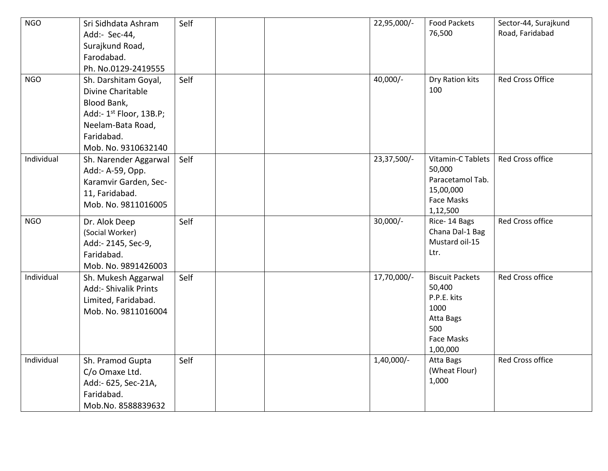| <b>NGO</b> | Sri Sidhdata Ashram<br>Add:- Sec-44,<br>Surajkund Road,<br>Farodabad.<br>Ph. No.0129-2419555                                                              | Self |  | 22,95,000/-  | <b>Food Packets</b><br>76,500                                                                                | Sector-44, Surajkund<br>Road, Faridabad |
|------------|-----------------------------------------------------------------------------------------------------------------------------------------------------------|------|--|--------------|--------------------------------------------------------------------------------------------------------------|-----------------------------------------|
| <b>NGO</b> | Sh. Darshitam Goyal,<br>Divine Charitable<br>Blood Bank,<br>Add:- 1 <sup>st</sup> Floor, 13B.P;<br>Neelam-Bata Road,<br>Faridabad.<br>Mob. No. 9310632140 | Self |  | $40,000/-$   | Dry Ration kits<br>100                                                                                       | <b>Red Cross Office</b>                 |
| Individual | Sh. Narender Aggarwal<br>Add:- A-59, Opp.<br>Karamvir Garden, Sec-<br>11, Faridabad.<br>Mob. No. 9811016005                                               | Self |  | 23,37,500/-  | <b>Vitamin-C Tablets</b><br>50,000<br>Paracetamol Tab.<br>15,00,000<br><b>Face Masks</b><br>1,12,500         | <b>Red Cross office</b>                 |
| <b>NGO</b> | Dr. Alok Deep<br>(Social Worker)<br>Add:- 2145, Sec-9,<br>Faridabad.<br>Mob. No. 9891426003                                                               | Self |  | $30,000/-$   | Rice-14 Bags<br>Chana Dal-1 Bag<br>Mustard oil-15<br>Ltr.                                                    | <b>Red Cross office</b>                 |
| Individual | Sh. Mukesh Aggarwal<br>Add:- Shivalik Prints<br>Limited, Faridabad.<br>Mob. No. 9811016004                                                                | Self |  | 17,70,000/-  | <b>Biscuit Packets</b><br>50,400<br>P.P.E. kits<br>1000<br>Atta Bags<br>500<br><b>Face Masks</b><br>1,00,000 | <b>Red Cross office</b>                 |
| Individual | Sh. Pramod Gupta<br>C/o Omaxe Ltd.<br>Add:- 625, Sec-21A,<br>Faridabad.<br>Mob.No. 8588839632                                                             | Self |  | $1,40,000/-$ | Atta Bags<br>(Wheat Flour)<br>1,000                                                                          | <b>Red Cross office</b>                 |